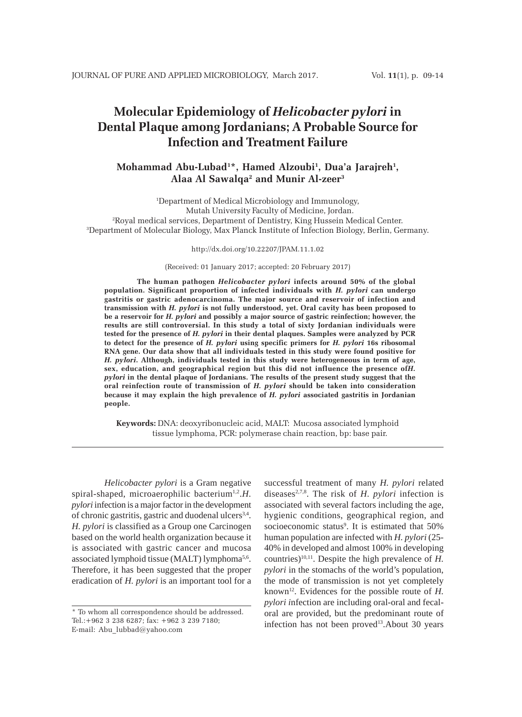# **Molecular Epidemiology of** *Helicobacter pylori* **in Dental Plaque among Jordanians; A Probable Source for Infection and Treatment Failure**

# **Mohammad Abu-Lubad1 \*, Hamed Alzoubi1 , Dua'a Jarajreh1 , Alaa Al Sawalqa2 and Munir Al-zeer3**

 Department of Medical Microbiology and Immunology, Mutah University Faculty of Medicine, Jordan. Royal medical services, Department of Dentistry, King Hussein Medical Center. Department of Molecular Biology, Max Planck Institute of Infection Biology, Berlin, Germany.

#### http://dx.doi.org/10.22207/JPAM.11.1.02

(Received: 01 January 2017; accepted: 20 February 2017)

**The human pathogen** *Helicobacter pylori* **infects around 50% of the global population. Significant proportion of infected individuals with** *H. pylori* **can undergo gastritis or gastric adenocarcinoma. The major source and reservoir of infection and transmission with** *H. pylori* **is not fully understood, yet. Oral cavity has been proposed to be a reservoir for** *H. pylori* **and possibly a major source of gastric reinfection; however, the results are still controversial. In this study a total of sixty Jordanian individuals were tested for the presence of** *H. pylori* **in their dental plaques. Samples were analyzed by PCR to detect for the presence of** *H. pylori* **using specific primers for** *H. pylori* **16s ribosomal RNA gene. Our data show that all individuals tested in this study were found positive for** *H. pylori***. Although, individuals tested in this study were heterogeneous in term of age, sex, education, and geographical region but this did not influence the presence of***H. pylori* **in the dental plaque of Jordanians. The results of the present study suggest that the oral reinfection route of transmission of** *H. pylori* **should be taken into consideration because it may explain the high prevalence of** *H. pylori* **associated gastritis in Jordanian people.**

**Keywords:** DNA: deoxyribonucleic acid, MALT: Mucosa associated lymphoid tissue lymphoma, PCR: polymerase chain reaction, bp: base pair.

*Helicobacter pylori* is a Gram negative spiral-shaped, microaerophilic bacterium<sup>1,2</sup>.*H. pylori* infection is a major factor in the development of chronic gastritis, gastric and duodenal ulcers<sup>3,4</sup>. *H. pylori* is classified as a Group one Carcinogen based on the world health organization because it is associated with gastric cancer and mucosa associated lymphoid tissue (MALT) lymphoma<sup>5,6</sup>. Therefore, it has been suggested that the proper eradication of *H. pylori* is an important tool for a

successful treatment of many *H. pylori* related diseases<sup>2,7,8</sup>. The risk of *H. pylori* infection is associated with several factors including the age, hygienic conditions, geographical region, and socioeconomic status<sup>9</sup>. It is estimated that 50% human population are infected with *H. pylori* (25- 40% in developed and almost 100% in developing countries)<sup>10,11</sup>. Despite the high prevalence of  $H$ . *pylori* in the stomachs of the world's population, the mode of transmission is not yet completely known12. Evidences for the possible route of *H. pylori i*nfection are including oral-oral and fecaloral are provided, but the predominant route of infection has not been proved<sup>13</sup>. About 30 years

<sup>\*</sup> To whom all correspondence should be addressed. Tel.:+962 3 238 6287; fax: +962 3 239 7180; E-mail: Abu\_lubbad@yahoo.com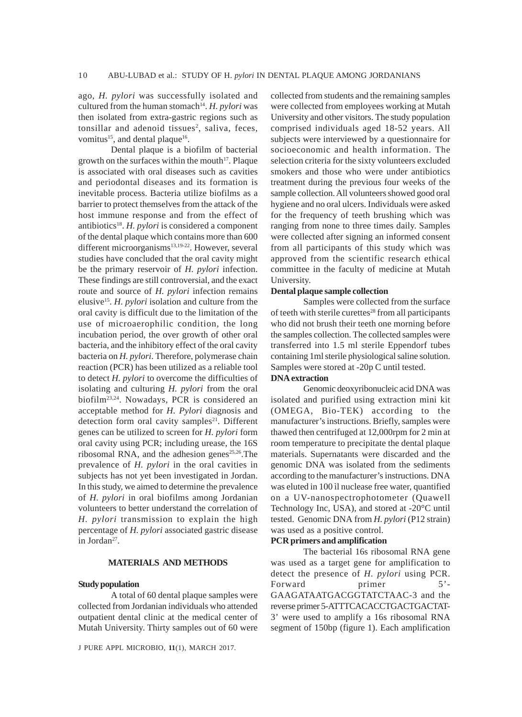ago, *H. pylori* was successfully isolated and cultured from the human stomach<sup>14</sup>. *H. pylori* was then isolated from extra-gastric regions such as tonsillar and adenoid tissues<sup>2</sup>, saliva, feces, vomitus<sup>15</sup>, and dental plaque<sup>16</sup>.

Dental plaque is a biofilm of bacterial growth on the surfaces within the mouth $17$ . Plaque is associated with oral diseases such as cavities and periodontal diseases and its formation is inevitable process. Bacteria utilize biofilms as a barrier to protect themselves from the attack of the host immune response and from the effect of antibiotics<sup>18</sup>. *H. pylori* is considered a component of the dental plaque which contains more than 600 different microorganisms<sup>13,19-22</sup>. However, several studies have concluded that the oral cavity might be the primary reservoir of *H. pylori* infection. These findings are still controversial, and the exact route and source of *H. pylori* infection remains elusive15. *H. pylori* isolation and culture from the oral cavity is difficult due to the limitation of the use of microaerophilic condition, the long incubation period, the over growth of other oral bacteria, and the inhibitory effect of the oral cavity bacteria on *H. pylori*. Therefore, polymerase chain reaction (PCR) has been utilized as a reliable tool to detect *H. pylori* to overcome the difficulties of isolating and culturing *H. pylori* from the oral biofilm23,24. Nowadays, PCR is considered an acceptable method for *H. Pylori* diagnosis and detection form oral cavity samples<sup>21</sup>. Different genes can be utilized to screen for *H. pylori* form oral cavity using PCR; including urease, the 16S ribosomal RNA, and the adhesion genes<sup>25,26</sup>. The prevalence of *H. pylori* in the oral cavities in subjects has not yet been investigated in Jordan. In this study, we aimed to determine the prevalence of *H. pylori* in oral biofilms among Jordanian volunteers to better understand the correlation of *H. pylori* transmission to explain the high percentage of *H. pylori* associated gastric disease in Jordan27.

## **MATERIALS AND METHODS**

#### **Study population**

A total of 60 dental plaque samples were collected from Jordanian individuals who attended outpatient dental clinic at the medical center of Mutah University. Thirty samples out of 60 were

J PURE APPL MICROBIO*,* **11**(1), MARCH 2017.

collected from students and the remaining samples were collected from employees working at Mutah University and other visitors. The study population comprised individuals aged 18-52 years. All subjects were interviewed by a questionnaire for socioeconomic and health information. The selection criteria for the sixty volunteers excluded smokers and those who were under antibiotics treatment during the previous four weeks of the sample collection. All volunteers showed good oral hygiene and no oral ulcers. Individuals were asked for the frequency of teeth brushing which was ranging from none to three times daily. Samples were collected after signing an informed consent from all participants of this study which was approved from the scientific research ethical committee in the faculty of medicine at Mutah University.

#### **Dental plaque sample collection**

Samples were collected from the surface of teeth with sterile curettes $^{28}$  from all participants who did not brush their teeth one morning before the samples collection. The collected samples were transferred into 1.5 ml sterile Eppendorf tubes containing 1ml sterile physiological saline solution. Samples were stored at -20p C until tested.

#### **DNA extraction**

Genomic deoxyribonucleic acid DNA was isolated and purified using extraction mini kit (OMEGA, Bio-TEK) according to the manufacturer's instructions. Briefly, samples were thawed then centrifuged at 12,000rpm for 2 min at room temperature to precipitate the dental plaque materials. Supernatants were discarded and the genomic DNA was isolated from the sediments according to the manufacturer's instructions. DNA was eluted in 100 ìl nuclease free water, quantified on a UV-nanospectrophotometer (Quawell Technology Inc, USA), and stored at -20°C until tested. Genomic DNA from *H. pylori* (P12 strain) was used as a positive control.

#### **PCR primers and amplification**

The bacterial 16s ribosomal RNA gene was used as a target gene for amplification to detect the presence of *H. pylori* using PCR. Forward primer 5'-GAAGATAATGACGGTATCTAAC-3 and the reverse primer 5-ATTTCACACCTGACTGACTAT-3' were used to amplify a 16s ribosomal RNA segment of 150bp (figure 1). Each amplification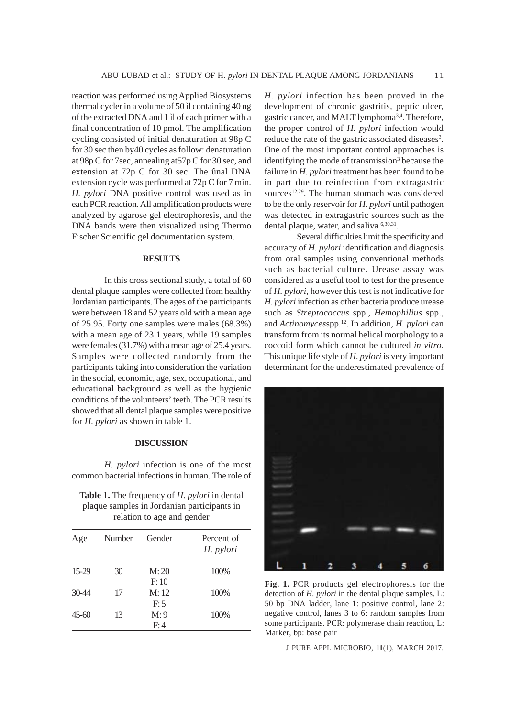reaction was performed using Applied Biosystems thermal cycler in a volume of 50 ìl containing 40 ng of the extracted DNA and 1 ìl of each primer with a final concentration of 10 pmol. The amplification cycling consisted of initial denaturation at 98p C for 30 sec then by40 cycles as follow: denaturation at 98p C for 7sec, annealing at57p C for 30 sec, and extension at 72p C for 30 sec. The ûnal DNA extension cycle was performed at 72p C for 7 min. *H. pylori* DNA positive control was used as in each PCR reaction. All amplification products were analyzed by agarose gel electrophoresis, and the DNA bands were then visualized using Thermo Fischer Scientific gel documentation system.

#### **RESULTS**

In this cross sectional study, a total of 60 dental plaque samples were collected from healthy Jordanian participants. The ages of the participants were between 18 and 52 years old with a mean age of 25.95. Forty one samples were males (68.3%) with a mean age of 23.1 years, while 19 samples were females (31.7%) with a mean age of 25.4 years. Samples were collected randomly from the participants taking into consideration the variation in the social, economic, age, sex, occupational, and educational background as well as the hygienic conditions of the volunteers' teeth. The PCR results showed that all dental plaque samples were positive for *H. pylori* as shown in table 1.

## **DISCUSSION**

*H. pylori* infection is one of the most common bacterial infections in human. The role of

**Table 1.** The frequency of *H. pylori* in dental plaque samples in Jordanian participants in relation to age and gender

| Age       | Number | Gender | Percent of<br>H. pylori |
|-----------|--------|--------|-------------------------|
| 15-29     | 30     | M:20   | 100%                    |
|           |        | F: 10  |                         |
| $30 - 44$ | 17     | M: 12  | 100%                    |
|           |        | F:5    |                         |
| 45-60     | 13     | M:9    | 100%                    |
|           |        | F:4    |                         |

*H. pylori* infection has been proved in the development of chronic gastritis, peptic ulcer, gastric cancer, and MALT lymphoma<sup>3,4</sup>. Therefore, the proper control of *H. pylori* infection would reduce the rate of the gastric associated diseases<sup>3</sup>. One of the most important control approaches is identifying the mode of transmission<sup>3</sup> because the failure in *H. pylori* treatment has been found to be in part due to reinfection from extragastric sources<sup>12,29</sup>. The human stomach was considered to be the only reservoir for *H. pylori* until pathogen was detected in extragastric sources such as the dental plaque, water, and saliva <sup>6,30,31</sup>.

Several difficulties limit the specificity and accuracy of *H. pylori* identification and diagnosis from oral samples using conventional methods such as bacterial culture. Urease assay was considered as a useful tool to test for the presence of *H. pylori*, however this test is not indicative for *H. pylori* infection as other bacteria produce urease such as *Streptococcus* spp., *Hemophilius* spp., and *Actinomyces*spp.12. In addition, *H. pylori* can transform from its normal helical morphology to a coccoid form which cannot be cultured *in vitro*. This unique life style of *H. pylori* is very important determinant for the underestimated prevalence of



**Fig. 1.** PCR products gel electrophoresis for the detection of *H. pylori* in the dental plaque samples. L: 50 bp DNA ladder, lane 1: positive control, lane 2: negative control, lanes 3 to 6: random samples from some participants. PCR: polymerase chain reaction, L: Marker, bp: base pair

J PURE APPL MICROBIO*,* **11**(1), MARCH 2017.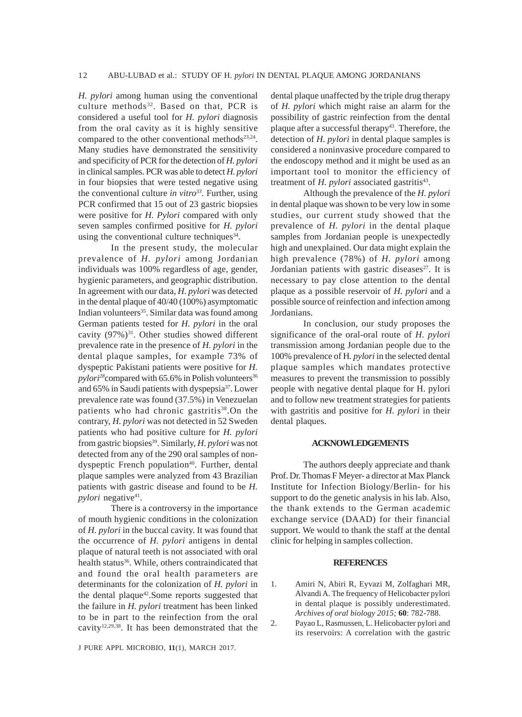*H. pylori* among human using the conventional culture methods<sup>32</sup>. Based on that, PCR is considered a useful tool for *H. pylori* diagnosis from the oral cavity as it is highly sensitive compared to the other conventional methods $23,24$ . Many studies have demonstrated the sensitivity and specificity of PCR for the detection of *H. pylori* in clinical samples. PCR was able to detect *H. pylori* in four biopsies that were tested negative using the conventional culture *in vitro*<sup>33</sup>. Further, using PCR confirmed that 15 out of 23 gastric biopsies were positive for *H. Pylori* compared with only seven samples confirmed positive for *H. pylori* using the conventional culture techniques $34$ .

In the present study, the molecular prevalence of *H. pylori* among Jordanian individuals was 100% regardless of age, gender, hygienic parameters, and geographic distribution. In agreement with our data, *H. pylori* was detected in the dental plaque of 40/40 (100%) asymptomatic Indian volunteers<sup>35</sup>. Similar data was found among German patients tested for *H. pylori* in the oral cavity  $(97\%)^{31}$ . Other studies showed different prevalence rate in the presence of *H. pylori* in the dental plaque samples, for example 73% of dyspeptic Pakistani patients were positive for *H.*  $pylori^{28}$ compared with 65.6% in Polish volunteers<sup>36</sup> and 65% in Saudi patients with dyspepsia37. Lower prevalence rate was found (37.5%) in Venezuelan patients who had chronic gastritis<sup>38</sup>.On the contrary, *H. pylori* was not detected in 52 Sweden patients who had positive culture for *H. pylori* from gastric biopsies<sup>39</sup>. Similarly, *H. pylori* was not detected from any of the 290 oral samples of nondyspeptic French population<sup>40</sup>. Further, dental plaque samples were analyzed from 43 Brazilian patients with gastric disease and found to be *H. pylori* negative<sup>41</sup>.

There is a controversy in the importance of mouth hygienic conditions in the colonization of *H. pylori* in the buccal cavity. It was found that the occurrence of *H. pylori* antigens in dental plaque of natural teeth is not associated with oral health status<sup>36</sup>. While, others contraindicated that and found the oral health parameters are determinants for the colonization of *H. pylori* in the dental plaque<sup>42</sup>. Some reports suggested that the failure in *H. pylori* treatment has been linked to be in part to the reinfection from the oral cavity12,29,38. It has been demonstrated that the

J PURE APPL MICROBIO*,* **11**(1), MARCH 2017.

dental plaque unaffected by the triple drug therapy of *H. pylori* which might raise an alarm for the possibility of gastric reinfection from the dental plaque after a successful therapy<sup>43</sup>. Therefore, the detection of *H. pylori* in dental plaque samples is considered a noninvasive procedure compared to the endoscopy method and it might be used as an important tool to monitor the efficiency of treatment of *H. pylori* associated gastritis<sup>43</sup>.

Although the prevalence of the *H. pylori* in dental plaque was shown to be very low in some studies, our current study showed that the prevalence of *H. pylori* in the dental plaque samples from Jordanian people is unexpectedly high and unexplained. Our data might explain the high prevalence (78%) of *H. pylori* among Jordanian patients with gastric diseases $27$ . It is necessary to pay close attention to the dental plaque as a possible reservoir of *H. pylori* and a possible source of reinfection and infection among Jordanians.

In conclusion, our study proposes the significance of the oral-oral route of *H. pylori* transmission among Jordanian people due to the 100% prevalence of H*. pylori* in the selected dental plaque samples which mandates protective measures to prevent the transmission to possibly people with negative dental plaque for H. pylori and to follow new treatment strategies for patients with gastritis and positive for *H. pylori* in their dental plaques.

### **ACKNOWLEDGEMENTS**

The authors deeply appreciate and thank Prof. Dr. Thomas F Meyer- a director at Max Planck Institute for Infection Biology/Berlin- for his support to do the genetic analysis in his lab. Also, the thank extends to the German academic exchange service (DAAD) for their financial support. We would to thank the staff at the dental clinic for helping in samples collection.

#### **REFERENCES**

- 1. Amiri N, Abiri R, Eyvazi M, Zolfaghari MR, Alvandi A. The frequency of Helicobacter pylori in dental plaque is possibly underestimated. *Archives of oral biology 2015;* **60**: 782-788.
- 2. Payao L, Rasmussen, L. Helicobacter pylori and its reservoirs: A correlation with the gastric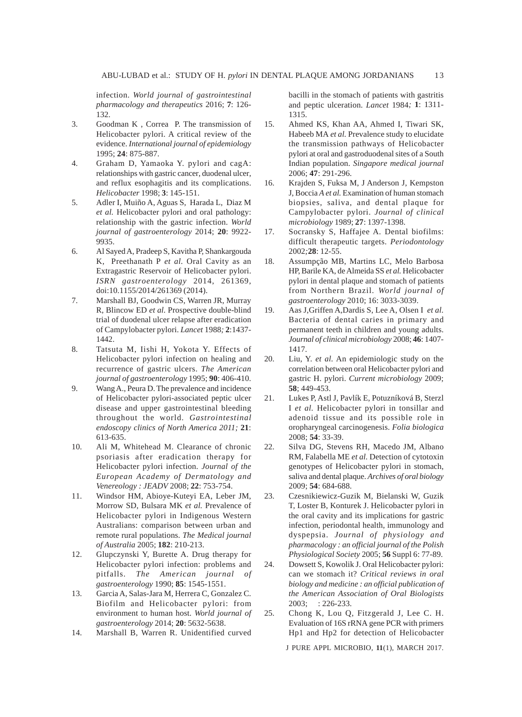infection. *World journal of gastrointestinal pharmacology and therapeutics* 2016; **7**: 126- 132.

- 3. Goodman K , Correa P. The transmission of Helicobacter pylori. A critical review of the evidence. *International journal of epidemiology* 1995; **24**: 875-887.
- 4. Graham D, Yamaoka Y. pylori and cagA: relationships with gastric cancer, duodenal ulcer, and reflux esophagitis and its complications. *Helicobacter* 1998; **3**: 145-151.
- 5. Adler I, Muiño A, Aguas S, Harada L, Diaz M *et al.* Helicobacter pylori and oral pathology: relationship with the gastric infection. *World journal of gastroenterology* 2014; **20**: 9922- 9935.
- 6. Al Sayed A, Pradeep S, Kavitha P, Shankargouda K, Preethanath P *et al.* Oral Cavity as an Extragastric Reservoir of Helicobacter pylori. *ISRN gastroenterology* 2014, 261369, doi:10.1155/2014/261369 (2014).
- 7. Marshall BJ, Goodwin CS, Warren JR, Murray R, Blincow ED *et al.* Prospective double-blind trial of duodenal ulcer relapse after eradication of Campylobacter pylori. *Lancet* 1988*;* **2**:1437- 1442.
- 8. Tatsuta M, Iishi H, Yokota Y. Effects of Helicobacter pylori infection on healing and recurrence of gastric ulcers. *The American journal of gastroenterology* 1995; **90**: 406-410.
- 9. Wang A., Peura D. The prevalence and incidence of Helicobacter pylori-associated peptic ulcer disease and upper gastrointestinal bleeding throughout the world. *Gastrointestinal endoscopy clinics of North America 2011;* **21**: 613-635.
- 10. Ali M, Whitehead M. Clearance of chronic psoriasis after eradication therapy for Helicobacter pylori infection. *Journal of the European Academy of Dermatology and Venereology : JEADV* 2008; **22**: 753-754.
- 11. Windsor HM, Abioye-Kuteyi EA, Leber JM, Morrow SD, Bulsara MK *et al.* Prevalence of Helicobacter pylori in Indigenous Western Australians: comparison between urban and remote rural populations. *The Medical journal of Australia* 2005; **182**: 210-213.
- 12. Glupczynski Y, Burette A. Drug therapy for Helicobacter pylori infection: problems and pitfalls. *The American journal of gastroenterology* 1990; **85**: 1545-1551.
- 13. Garcia A, Salas-Jara M, Herrera C, Gonzalez C. Biofilm and Helicobacter pylori: from environment to human host. *World journal of gastroenterology* 2014; **20**: 5632-5638.
- 14. Marshall B, Warren R. Unidentified curved

bacilli in the stomach of patients with gastritis and peptic ulceration. *Lancet* 1984*;* **1**: 1311- 1315.

- 15. Ahmed KS, Khan AA, Ahmed I, Tiwari SK, Habeeb MA *et al.* Prevalence study to elucidate the transmission pathways of Helicobacter pylori at oral and gastroduodenal sites of a South Indian population. *Singapore medical journal* 2006; **47**: 291-296.
- 16. Krajden S, Fuksa M, J Anderson J, Kempston J, Boccia *A et al.* Examination of human stomach biopsies, saliva, and dental plaque for Campylobacter pylori. *Journal of clinical microbiology* 1989; **27**: 1397-1398.
- 17. Socransky S, Haffajee A. Dental biofilms: difficult therapeutic targets. *Periodontology* 2002*;***28**: 12-55.
- 18. Assumpção MB, Martins LC, Melo Barbosa HP, Barile KA, de Almeida SS *et al.* Helicobacter pylori in dental plaque and stomach of patients from Northern Brazil. *World journal of gastroenterology* 2010; 16: 3033-3039.
- 19. Aas J,Griffen A,Dardis S, Lee A, Olsen I *et al.* Bacteria of dental caries in primary and permanent teeth in children and young adults. *Journal of clinical microbiology* 2008; **46**: 1407- 1417.
- 20. Liu, Y. *et al.* An epidemiologic study on the correlation between oral Helicobacter pylori and gastric H. pylori. *Current microbiology* 2009; **58**; 449-453.
- 21. Lukes P, Astl J, Pavlík E, Potuzníková B, Sterzl I *et al.* Helicobacter pylori in tonsillar and adenoid tissue and its possible role in oropharyngeal carcinogenesis. *Folia biologica* 2008; **54**: 33-39.
- 22. Silva DG, Stevens RH, Macedo JM, Albano RM, Falabella ME *et al.* Detection of cytotoxin genotypes of Helicobacter pylori in stomach, saliva and dental plaque. *Archives of oral biology* 2009; **54**: 684-688.
- 23. Czesnikiewicz-Guzik M, Bielanski W, Guzik T, Loster B, Konturek J. Helicobacter pylori in the oral cavity and its implications for gastric infection, periodontal health, immunology and dyspepsia. *Journal of physiology and pharmacology : an official journal of the Polish Physiological Society* 2005; **56** Suppl 6: 77-89.
- 24. Dowsett S, Kowolik J. Oral Helicobacter pylori: can we stomach it? *Critical reviews in oral biology and medicine : an official publication of the American Association of Oral Biologists* 2003; **1226-233**.
- 25. Chong K, Lou Q, Fitzgerald J, Lee C. H. Evaluation of 16S rRNA gene PCR with primers Hp1 and Hp2 for detection of Helicobacter

J PURE APPL MICROBIO*,* **11**(1), MARCH 2017.